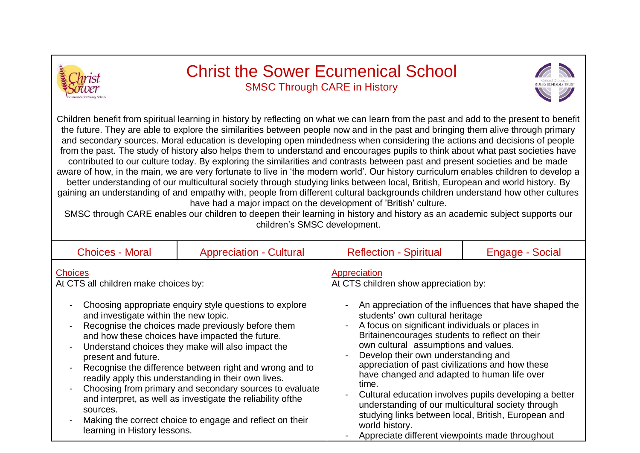

## Christ the Sower Ecumenical School SMSC Through CARE in History



Children benefit from spiritual learning in history by reflecting on what we can learn from the past and add to the present to benefit the future. They are able to explore the similarities between people now and in the past and bringing them alive through primary and secondary sources. Moral education is developing open mindedness when considering the actions and decisions of people from the past. The study of history also helps them to understand and encourages pupils to think about what past societies have contributed to our culture today. By exploring the similarities and contrasts between past and present societies and be made aware of how, in the main, we are very fortunate to live in 'the modern world'. Our history curriculum enables children to develop a better understanding of our multicultural society through studying links between local, British, European and world history. By gaining an understanding of and empathy with, people from different cultural backgrounds children understand how other cultures have had a major impact on the development of 'British' culture.

SMSC through CARE enables our children to deepen their learning in history and history as an academic subject supports our children's SMSC development.

| <b>Choices - Moral</b>                                                                                                                                                                                                                                                                                                                                                                                                  | <b>Appreciation - Cultural</b> | <b>Reflection - Spiritual</b>                                                                                                                                                                                                                                                                                                     | Engage - Social                                        |
|-------------------------------------------------------------------------------------------------------------------------------------------------------------------------------------------------------------------------------------------------------------------------------------------------------------------------------------------------------------------------------------------------------------------------|--------------------------------|-----------------------------------------------------------------------------------------------------------------------------------------------------------------------------------------------------------------------------------------------------------------------------------------------------------------------------------|--------------------------------------------------------|
| <b>Choices</b><br>At CTS all children make choices by:<br>Choosing appropriate enquiry style questions to explore<br>and investigate within the new topic.<br>Recognise the choices made previously before them<br>$\blacksquare$<br>and how these choices have impacted the future.<br>Understand choices they make will also impact the<br>$\overline{a}$                                                             |                                | Appreciation<br>At CTS children show appreciation by:<br>An appreciation of the influences that have shaped the<br>students' own cultural heritage<br>A focus on significant individuals or places in<br>Britainencourages students to reflect on their<br>own cultural assumptions and values.                                   |                                                        |
| present and future.<br>Recognise the difference between right and wrong and to<br>$\overline{a}$<br>readily apply this understanding in their own lives.<br>Choosing from primary and secondary sources to evaluate<br>$\overline{\phantom{0}}$<br>and interpret, as well as investigate the reliability of the<br>sources.<br>Making the correct choice to engage and reflect on their<br>learning in History lessons. |                                | Develop their own understanding and<br>appreciation of past civilizations and how these<br>have changed and adapted to human life over<br>time.<br>understanding of our multicultural society through<br>studying links between local, British, European and<br>world history.<br>Appreciate different viewpoints made throughout | Cultural education involves pupils developing a better |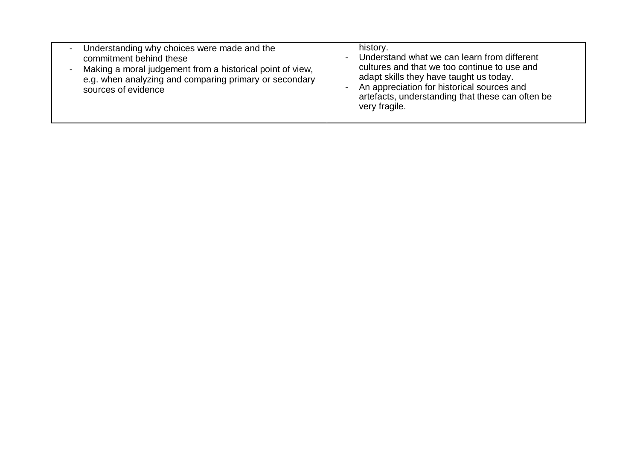| Understanding why choices were made and the<br>$\blacksquare$<br>commitment behind these<br>- Making a moral judgement from a historical point of view,<br>e.g. when analyzing and comparing primary or secondary<br>sources of evidence | history.<br>Understand what we can learn from different<br>cultures and that we too continue to use and<br>adapt skills they have taught us today.<br>An appreciation for historical sources and<br>artefacts, understanding that these can often be<br>very fragile. |
|------------------------------------------------------------------------------------------------------------------------------------------------------------------------------------------------------------------------------------------|-----------------------------------------------------------------------------------------------------------------------------------------------------------------------------------------------------------------------------------------------------------------------|
|------------------------------------------------------------------------------------------------------------------------------------------------------------------------------------------------------------------------------------------|-----------------------------------------------------------------------------------------------------------------------------------------------------------------------------------------------------------------------------------------------------------------------|